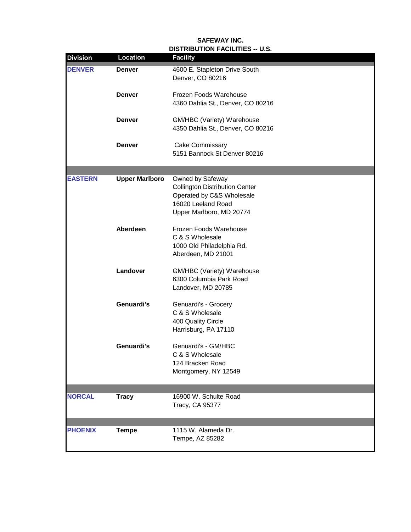## **DISTRIBUTION FACILITIES -- U.S. SAFEWAY INC.**

| <b>Division</b> | <b>Location</b>       | <b>Facility</b>                                                    |
|-----------------|-----------------------|--------------------------------------------------------------------|
| <b>DENVER</b>   | <b>Denver</b>         | 4600 E. Stapleton Drive South<br>Denver, CO 80216                  |
|                 | <b>Denver</b>         | Frozen Foods Warehouse<br>4360 Dahlia St., Denver, CO 80216        |
|                 | <b>Denver</b>         | GM/HBC (Variety) Warehouse<br>4350 Dahlia St., Denver, CO 80216    |
|                 | <b>Denver</b>         | Cake Commissary<br>5151 Bannock St Denver 80216                    |
|                 |                       |                                                                    |
| <b>EASTERN</b>  | <b>Upper Marlboro</b> | Owned by Safeway                                                   |
|                 |                       | <b>Collington Distribution Center</b><br>Operated by C&S Wholesale |
|                 |                       | 16020 Leeland Road                                                 |
|                 |                       | Upper Marlboro, MD 20774                                           |
|                 |                       |                                                                    |
|                 | Aberdeen              | Frozen Foods Warehouse                                             |
|                 |                       | C & S Wholesale                                                    |
|                 |                       | 1000 Old Philadelphia Rd.                                          |
|                 |                       | Aberdeen, MD 21001                                                 |
|                 | Landover              | GM/HBC (Variety) Warehouse                                         |
|                 |                       | 6300 Columbia Park Road                                            |
|                 |                       | Landover, MD 20785                                                 |
|                 |                       |                                                                    |
|                 | Genuardi's            | Genuardi's - Grocery                                               |
|                 |                       | C & S Wholesale                                                    |
|                 |                       | 400 Quality Circle                                                 |
|                 |                       | Harrisburg, PA 17110                                               |
|                 | Genuardi's            | Genuardi's - GM/HBC                                                |
|                 |                       | C & S Wholesale                                                    |
|                 |                       | 124 Bracken Road                                                   |
|                 |                       | Montgomery, NY 12549                                               |
|                 |                       |                                                                    |
|                 | <b>Tracy</b>          | 16900 W. Schulte Road                                              |
| <b>NORCAL</b>   |                       | Tracy, CA 95377                                                    |
|                 |                       |                                                                    |
|                 |                       |                                                                    |
| <b>PHOENIX</b>  | <b>Tempe</b>          | 1115 W. Alameda Dr.                                                |
|                 |                       | Tempe, AZ 85282                                                    |
|                 |                       |                                                                    |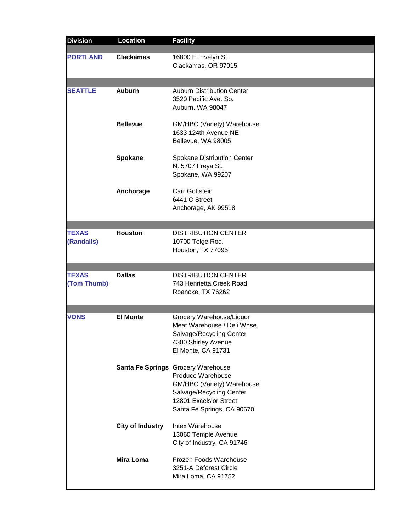| <b>Division</b>             | <b>Location</b>         | <b>Facility</b>                                                                                                                                                           |
|-----------------------------|-------------------------|---------------------------------------------------------------------------------------------------------------------------------------------------------------------------|
| <b>PORTLAND</b>             | <b>Clackamas</b>        | 16800 E. Evelyn St.<br>Clackamas, OR 97015                                                                                                                                |
| <b>SEATTLE</b>              | <b>Auburn</b>           | <b>Auburn Distribution Center</b><br>3520 Pacific Ave. So.<br>Auburn, WA 98047                                                                                            |
|                             | <b>Bellevue</b>         | GM/HBC (Variety) Warehouse<br>1633 124th Avenue NE<br>Bellevue, WA 98005                                                                                                  |
|                             | Spokane                 | Spokane Distribution Center<br>N. 5707 Freya St.<br>Spokane, WA 99207                                                                                                     |
|                             | Anchorage               | Carr Gottstein<br>6441 C Street<br>Anchorage, AK 99518                                                                                                                    |
| <b>TEXAS</b><br>(Randalls)  | <b>Houston</b>          | <b>DISTRIBUTION CENTER</b><br>10700 Telge Rod.<br>Houston, TX 77095                                                                                                       |
| <b>TEXAS</b><br>(Tom Thumb) | <b>Dallas</b>           | <b>DISTRIBUTION CENTER</b><br>743 Henrietta Creek Road<br>Roanoke, TX 76262                                                                                               |
| VONS                        | <b>El Monte</b>         | Grocery Warehouse/Liquor<br>Meat Warehouse / Deli Whse.<br>Salvage/Recycling Center<br>4300 Shirley Avenue<br>El Monte, CA 91731                                          |
|                             |                         | Santa Fe Springs Grocery Warehouse<br>Produce Warehouse<br>GM/HBC (Variety) Warehouse<br>Salvage/Recycling Center<br>12801 Excelsior Street<br>Santa Fe Springs, CA 90670 |
|                             | <b>City of Industry</b> | Intex Warehouse<br>13060 Temple Avenue<br>City of Industry, CA 91746                                                                                                      |
|                             | <b>Mira Loma</b>        | Frozen Foods Warehouse<br>3251-A Deforest Circle<br>Mira Loma, CA 91752                                                                                                   |